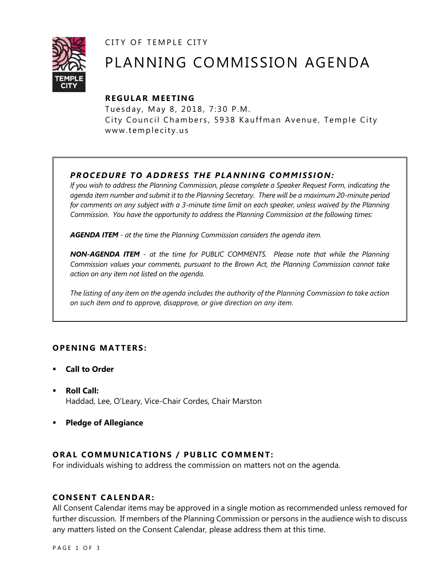CITY OF TEMPLE CITY



# PLANNING COMMISSION AGENDA

# **R EGULA R MEE TING**

Tuesday, May 8, 2018, 7:30 P.M. City Council Chambers, 5938 Kauffman Avenue, Temple City www.templecity.us

# *PR OCE DURE TO ADDRE SS THE P LA NNI NG COM MI SSION:*

*If you wish to address the Planning Commission, please complete a Speaker Request Form, indicating the agenda item number and submit it to the Planning Secretary. There will be a maximum 20-minute period*  for comments on any subject with a 3-minute time limit on each speaker, unless waived by the Planning *Commission. You have the opportunity to address the Planning Commission at the following times:*

*AGENDA ITEM - at the time the Planning Commission considers the agenda item.*

*NON-AGENDA ITEM - at the time for PUBLIC COMMENTS. Please note that while the Planning Commission values your comments, pursuant to the Brown Act, the Planning Commission cannot take action on any item not listed on the agenda.*

*The listing of any item on the agenda includes the authority of the Planning Commission to take action on such item and to approve, disapprove, or give direction on any item.*

# **OPENING MATTERS:**

- **Call to Order**
- **Roll Call:** Haddad, Lee, O'Leary, Vice-Chair Cordes, Chair Marston
- **Pledge of Allegiance**

# **ORAL COMMUNICATIONS / PUBLIC COMMENT:**

For individuals wishing to address the commission on matters not on the agenda.

# **CONSENT CALENDAR:**

All Consent Calendar items may be approved in a single motion as recommended unless removed for further discussion. If members of the Planning Commission or persons in the audience wish to discuss any matters listed on the Consent Calendar, please address them at this time.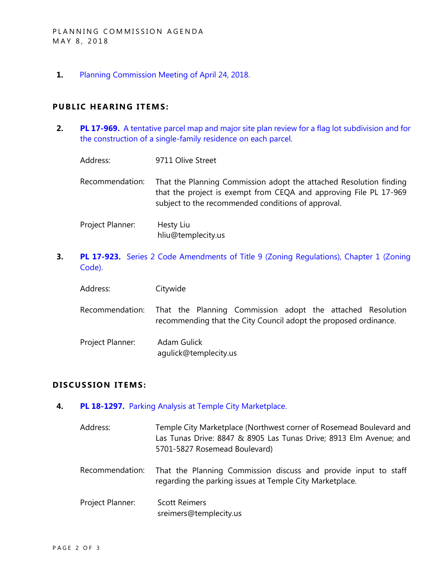**1.** [Planning Commission Meeting of April 24, 2018.](/DocumentCenter/View/10342/Item-1-Planning-Commission-Minutes-April-24-2018-Draft)

#### **PUBLIC HEARING ITEMS:**

**2. PL 17-969.** [A tentative parcel map and major site plan review for a flag lot subdivision and for](/DocumentCenter/View/10343/Item-2-Tentative-Parcel-Map-and-Major-Site-Plan-Review-9711-Olive-Street)  [the construction of a single-family residence on each parcel.](/DocumentCenter/View/10343/Item-2-Tentative-Parcel-Map-and-Major-Site-Plan-Review-9711-Olive-Street)

| Address:         | 9711 Olive Street                                                                                                                                                                             |
|------------------|-----------------------------------------------------------------------------------------------------------------------------------------------------------------------------------------------|
| Recommendation:  | That the Planning Commission adopt the attached Resolution finding<br>that the project is exempt from CEQA and approving File PL 17-969<br>subject to the recommended conditions of approval. |
| Project Planner: | Hesty Liu<br>hliu@templecity.us                                                                                                                                                               |

**3. PL 17-923.** Series 2 Code Amendments of Title 9 (Zoning Regulations), Chapter 1 (Zoning [Code\).](/DocumentCenter/View/10344/Item-3-Series-2-Code-Amendments-of-Title-9)

| Address: | Citywide |
|----------|----------|
|          |          |

Recommendation: That the Planning Commission adopt the attached Resolution recommending that the City Council adopt the proposed ordinance.

Project Planner: Adam Gulick agulick@templecity.us

### **D ISCUSSION ITEMS:**

- **4. PL 18-1297.** [Parking Analysis at Temple City Marketplace.](/DocumentCenter/View/10345/Item-4-Parking-Analysis-Temple-City-Marketplace)
	- Address: Temple City Marketplace (Northwest corner of Rosemead Boulevard and Las Tunas Drive: 8847 & 8905 Las Tunas Drive; 8913 Elm Avenue; and 5701-5827 Rosemead Boulevard)
	- Recommendation: That the Planning Commission discuss and provide input to staff regarding the parking issues at Temple City Marketplace.

Project Planner: Scott Reimers sreimers@templecity.us